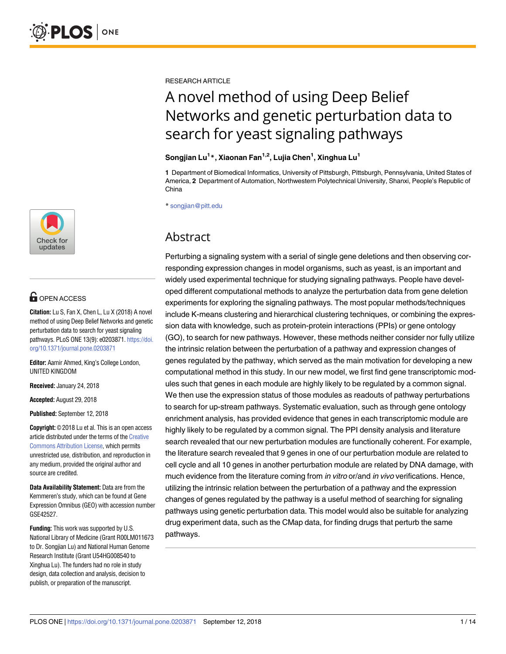

## **OPEN ACCESS**

**Citation:** Lu S, Fan X, Chen L, Lu X (2018) A novel method of using Deep Belief Networks and genetic perturbation data to search for yeast signaling pathways. PLoS ONE 13(9): e0203871. https://doi. org/10.1371/journal.pone.0203871

**Editor:** Aamir Ahmed, King's College London, UNITED KINGDOM

**Received:** January 24, 2018

**Accepted:** August 29, 2018

**Published:** September 12, 2018

**Copyright:** © 2018 Lu et al. This is an open access article distributed under the terms of the Creative Commons Attribution License, which permits unrestricted use, distribution, and reproduction in any medium, provided the original author and source are credited.

**Data Availability Statement:** Data are from the Kemmeren's study, which can be found at Gene Expression Omnibus (GEO) with accession number GSE42527.

**Funding:** This work was supported by U.S. National Library of Medicine (Grant R00LM011673 to Dr. Songjian Lu) and National Human Genome Research Institute (Grant U54HG008540 to Xinghua Lu). The funders had no role in study design, data collection and analysis, decision to publish, or preparation of the manuscript.

RESEARCH ARTICLE

# A novel method of using Deep Belief Networks and genetic perturbation data to search for yeast signaling pathways

#### **Songjian Lu1 \*, Xiaonan Fan1,2, Lujia Chen1 , Xinghua Lu1**

**1** Department of Biomedical Informatics, University of Pittsburgh, Pittsburgh, Pennsylvania, United States of America, **2** Department of Automation, Northwestern Polytechnical University, Shanxi, People's Republic of China

\* songjian@pitt.edu

## Abstract

Perturbing a signaling system with a serial of single gene deletions and then observing corresponding expression changes in model organisms, such as yeast, is an important and widely used experimental technique for studying signaling pathways. People have developed different computational methods to analyze the perturbation data from gene deletion experiments for exploring the signaling pathways. The most popular methods/techniques include K-means clustering and hierarchical clustering techniques, or combining the expression data with knowledge, such as protein-protein interactions (PPIs) or gene ontology (GO), to search for new pathways. However, these methods neither consider nor fully utilize the intrinsic relation between the perturbation of a pathway and expression changes of genes regulated by the pathway, which served as the main motivation for developing a new computational method in this study. In our new model, we first find gene transcriptomic modules such that genes in each module are highly likely to be regulated by a common signal. We then use the expression status of those modules as readouts of pathway perturbations to search for up-stream pathways. Systematic evaluation, such as through gene ontology enrichment analysis, has provided evidence that genes in each transcriptomic module are highly likely to be regulated by a common signal. The PPI density analysis and literature search revealed that our new perturbation modules are functionally coherent. For example, the literature search revealed that 9 genes in one of our perturbation module are related to cell cycle and all 10 genes in another perturbation module are related by DNA damage, with much evidence from the literature coming from in vitro or/and in vivo verifications. Hence, utilizing the intrinsic relation between the perturbation of a pathway and the expression changes of genes regulated by the pathway is a useful method of searching for signaling pathways using genetic perturbation data. This model would also be suitable for analyzing drug experiment data, such as the CMap data, for finding drugs that perturb the same pathways.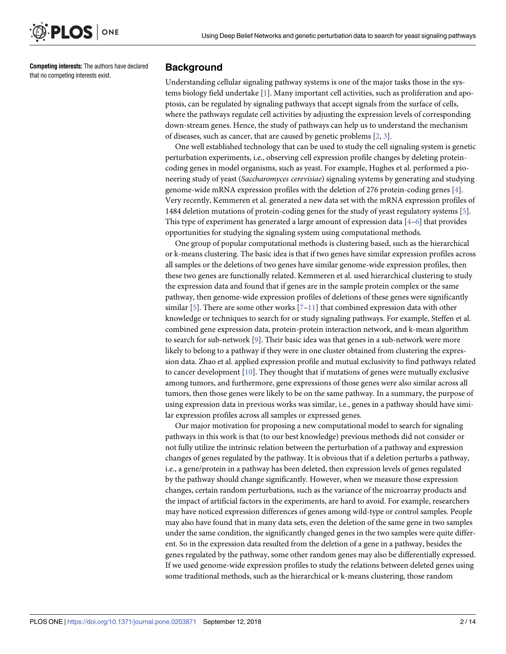

**Competing interests:** The authors have declared that no competing interests exist.

#### **Background**

Understanding cellular signaling pathway systems is one of the major tasks those in the systems biology field undertake [1]. Many important cell activities, such as proliferation and apoptosis, can be regulated by signaling pathways that accept signals from the surface of cells, where the pathways regulate cell activities by adjusting the expression levels of corresponding down-stream genes. Hence, the study of pathways can help us to understand the mechanism of diseases, such as cancer, that are caused by genetic problems [2, 3].

One well established technology that can be used to study the cell signaling system is genetic perturbation experiments, i.e., observing cell expression profile changes by deleting proteincoding genes in model organisms, such as yeast. For example, Hughes et al. performed a pioneering study of yeast (*Saccharomyces cerevisiae*) signaling systems by generating and studying genome-wide mRNA expression profiles with the deletion of 276 protein-coding genes [4]. Very recently, Kemmeren et al. generated a new data set with the mRNA expression profiles of 1484 deletion mutations of protein-coding genes for the study of yeast regulatory systems [5]. This type of experiment has generated a large amount of expression data  $[4-6]$  that provides opportunities for studying the signaling system using computational methods.

One group of popular computational methods is clustering based, such as the hierarchical or k-means clustering. The basic idea is that if two genes have similar expression profiles across all samples or the deletions of two genes have similar genome-wide expression profiles, then these two genes are functionally related. Kemmeren et al. used hierarchical clustering to study the expression data and found that if genes are in the sample protein complex or the same pathway, then genome-wide expression profiles of deletions of these genes were significantly similar [5]. There are some other works  $[7-11]$  that combined expression data with other knowledge or techniques to search for or study signaling pathways. For example, Steffen et al. combined gene expression data, protein-protein interaction network, and k-mean algorithm to search for sub-network [9]. Their basic idea was that genes in a sub-network were more likely to belong to a pathway if they were in one cluster obtained from clustering the expression data. Zhao et al. applied expression profile and mutual exclusivity to find pathways related to cancer development  $[10]$ . They thought that if mutations of genes were mutually exclusive among tumors, and furthermore, gene expressions of those genes were also similar across all tumors, then those genes were likely to be on the same pathway. In a summary, the purpose of using expression data in previous works was similar, i.e., genes in a pathway should have similar expression profiles across all samples or expressed genes.

Our major motivation for proposing a new computational model to search for signaling pathways in this work is that (to our best knowledge) previous methods did not consider or not fully utilize the intrinsic relation between the perturbation of a pathway and expression changes of genes regulated by the pathway. It is obvious that if a deletion perturbs a pathway, i.e., a gene/protein in a pathway has been deleted, then expression levels of genes regulated by the pathway should change significantly. However, when we measure those expression changes, certain random perturbations, such as the variance of the microarray products and the impact of artificial factors in the experiments, are hard to avoid. For example, researchers may have noticed expression differences of genes among wild-type or control samples. People may also have found that in many data sets, even the deletion of the same gene in two samples under the same condition, the significantly changed genes in the two samples were quite different. So in the expression data resulted from the deletion of a gene in a pathway, besides the genes regulated by the pathway, some other random genes may also be differentially expressed. If we used genome-wide expression profiles to study the relations between deleted genes using some traditional methods, such as the hierarchical or k-means clustering, those random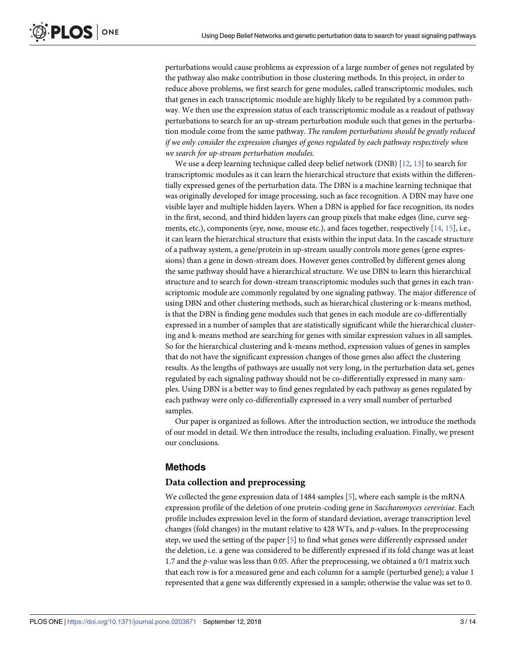perturbations would cause problems as expression of a large number of genes not regulated by the pathway also make contribution in those clustering methods. In this project, in order to reduce above problems, we first search for gene modules, called transcriptomic modules, such that genes in each transcriptomic module are highly likely to be regulated by a common pathway. We then use the expression status of each transcriptomic module as a readout of pathway perturbations to search for an up-stream perturbation module such that genes in the perturbation module come from the same pathway. *The random perturbations should be greatly reduced if we only consider the expression changes of genes regulated by each pathway respectively when we search for up-stream perturbation modules*.

We use a deep learning technique called deep belief network (DNB) [12, 13] to search for transcriptomic modules as it can learn the hierarchical structure that exists within the differentially expressed genes of the perturbation data. The DBN is a machine learning technique that was originally developed for image processing, such as face recognition. A DBN may have one visible layer and multiple hidden layers. When a DBN is applied for face recognition, its nodes in the first, second, and third hidden layers can group pixels that make edges (line, curve segments, etc.), components (eye, nose, mouse etc.), and faces together, respectively [14, 15], i.e., it can learn the hierarchical structure that exists within the input data. In the cascade structure of a pathway system, a gene/protein in up-stream usually controls more genes (gene expressions) than a gene in down-stream does. However genes controlled by different genes along the same pathway should have a hierarchical structure. We use DBN to learn this hierarchical structure and to search for down-stream transcriptomic modules such that genes in each transcriptomic module are commonly regulated by one signaling pathway. The major difference of using DBN and other clustering methods, such as hierarchical clustering or k-means method, is that the DBN is finding gene modules such that genes in each module are co-differentially expressed in a number of samples that are statistically significant while the hierarchical clustering and k-means method are searching for genes with similar expression values in all samples. So for the hierarchical clustering and k-means method, expression values of genes in samples that do not have the significant expression changes of those genes also affect the clustering results. As the lengths of pathways are usually not very long, in the perturbation data set, genes regulated by each signaling pathway should not be co-differentially expressed in many samples. Using DBN is a better way to find genes regulated by each pathway as genes regulated by each pathway were only co-differentially expressed in a very small number of perturbed samples.

Our paper is organized as follows. After the introduction section, we introduce the methods of our model in detail. We then introduce the results, including evaluation. Finally, we present our conclusions.

#### **Methods**

#### **Data collection and preprocessing**

We collected the gene expression data of 1484 samples [5], where each sample is the mRNA expression profile of the deletion of one protein-coding gene in *Saccharomyces cerevisiae*. Each profile includes expression level in the form of standard deviation, average transcription level changes (fold changes) in the mutant relative to 428 WTs, and *p*-values. In the preprocessing step, we used the setting of the paper [5] to find what genes were differently expressed under the deletion, i.e. a gene was considered to be differently expressed if its fold change was at least 1.7 and the *p*-value was less than 0.05. After the preprocessing, we obtained a 0/1 matrix such that each row is for a measured gene and each column for a sample (perturbed gene); a value 1 represented that a gene was differently expressed in a sample; otherwise the value was set to 0.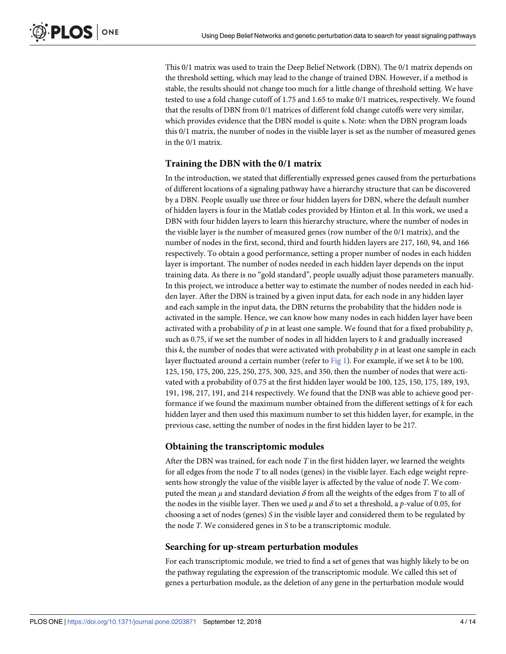This 0/1 matrix was used to train the Deep Belief Network (DBN). The 0/1 matrix depends on the threshold setting, which may lead to the change of trained DBN. However, if a method is stable, the results should not change too much for a little change of threshold setting. We have tested to use a fold change cutoff of 1.75 and 1.65 to make 0/1 matrices, respectively. We found that the results of DBN from 0/1 matrices of different fold change cutoffs were very similar, which provides evidence that the DBN model is quite s. Note: when the DBN program loads this 0/1 matrix, the number of nodes in the visible layer is set as the number of measured genes in the 0/1 matrix.

#### **Training the DBN with the 0/1 matrix**

In the introduction, we stated that differentially expressed genes caused from the perturbations of different locations of a signaling pathway have a hierarchy structure that can be discovered by a DBN. People usually use three or four hidden layers for DBN, where the default number of hidden layers is four in the Matlab codes provided by Hinton et al. In this work, we used a DBN with four hidden layers to learn this hierarchy structure, where the number of nodes in the visible layer is the number of measured genes (row number of the 0/1 matrix), and the number of nodes in the first, second, third and fourth hidden layers are 217, 160, 94, and 166 respectively. To obtain a good performance, setting a proper number of nodes in each hidden layer is important. The number of nodes needed in each hidden layer depends on the input training data. As there is no "gold standard", people usually adjust those parameters manually. In this project, we introduce a better way to estimate the number of nodes needed in each hidden layer. After the DBN is trained by a given input data, for each node in any hidden layer and each sample in the input data, the DBN returns the probability that the hidden node is activated in the sample. Hence, we can know how many nodes in each hidden layer have been activated with a probability of *p* in at least one sample. We found that for a fixed probability *p*, such as 0.75, if we set the number of nodes in all hidden layers to *k* and gradually increased this *k*, the number of nodes that were activated with probability *p* in at least one sample in each layer fluctuated around a certain number (refer to Fig 1). For example, if we set *k* to be 100, 125, 150, 175, 200, 225, 250, 275, 300, 325, and 350, then the number of nodes that were activated with a probability of 0.75 at the first hidden layer would be 100, 125, 150, 175, 189, 193, 191, 198, 217, 191, and 214 respectively. We found that the DNB was able to achieve good performance if we found the maximum number obtained from the different settings of *k* for each hidden layer and then used this maximum number to set this hidden layer, for example, in the previous case, setting the number of nodes in the first hidden layer to be 217.

#### **Obtaining the transcriptomic modules**

After the DBN was trained, for each node *T* in the first hidden layer, we learned the weights for all edges from the node *T* to all nodes (genes) in the visible layer. Each edge weight represents how strongly the value of the visible layer is affected by the value of node *T*. We computed the mean *μ* and standard deviation  $\delta$  from all the weights of the edges from *T* to all of the nodes in the visible layer. Then we used  $\mu$  and  $\delta$  to set a threshold, a *p*-value of 0.05, for choosing a set of nodes (genes) *S* in the visible layer and considered them to be regulated by the node *T*. We considered genes in *S* to be a transcriptomic module.

#### **Searching for up-stream perturbation modules**

For each transcriptomic module, we tried to find a set of genes that was highly likely to be on the pathway regulating the expression of the transcriptomic module. We called this set of genes a perturbation module, as the deletion of any gene in the perturbation module would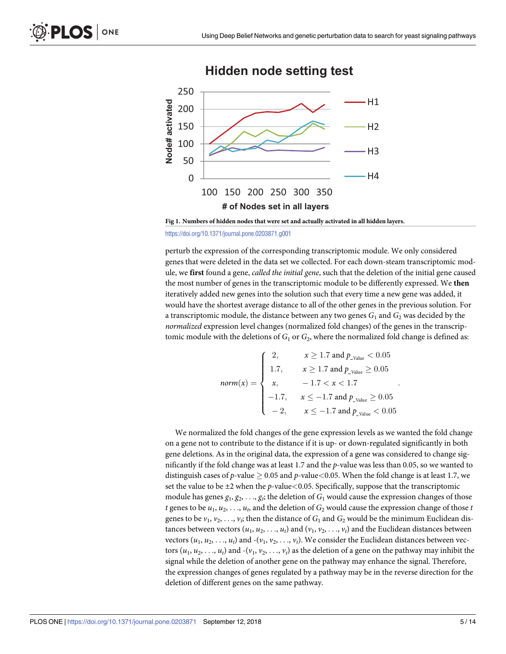

### **Hidden node setting test**

**Fig 1. Numbers of hidden nodes that were set and actually activated in all hidden layers.**

https://doi.org/10.1371/journal.pone.0203871.g001

perturb the expression of the corresponding transcriptomic module. We only considered genes that were deleted in the data set we collected. For each down-steam transcriptomic module, we **first** found a gene, *called the initial gene*, such that the deletion of the initial gene caused the most number of genes in the transcriptomic module to be differently expressed. We **then** iteratively added new genes into the solution such that every time a new gene was added, it would have the shortest average distance to all of the other genes in the previous solution. For a transcriptomic module, the distance between any two genes  $G_1$  and  $G_2$  was decided by the *normalized* expression level changes (normalized fold changes) of the genes in the transcriptomic module with the deletions of  $G_1$  or  $G_2$ , where the normalized fold change is defined as:

$$
norm(x) = \begin{cases} 2, & x \ge 1.7 \text{ and } p_{\text{-Value}} < 0.05 \\ 1.7, & x \ge 1.7 \text{ and } p_{\text{-Value}} \ge 0.05 \\ x, & -1.7 < x < 1.7 \\ -1.7, & x \le -1.7 \text{ and } p_{\text{-Value}} \ge 0.05 \\ -2, & x \le -1.7 \text{ and } p_{\text{-Value}} < 0.05 \end{cases}
$$

*:*

We normalized the fold changes of the gene expression levels as we wanted the fold change on a gene not to contribute to the distance if it is up- or down-regulated significantly in both gene deletions. As in the original data, the expression of a gene was considered to change significantly if the fold change was at least 1.7 and the *p*-value was less than 0.05, so we wanted to distinguish cases of *p*-value  $\geq$  0.05 and *p*-value < 0.05. When the fold change is at least 1.7, we set the value to be ±2 when the *p*-value*<*0.05. Specifically, suppose that the transcriptomic module has genes  $g_1, g_2, \ldots, g_t$ ; the deletion of  $G_1$  would cause the expression changes of those *t* genes to be  $u_1, u_2, \ldots, u_t$ , and the deletion of  $G_2$  would cause the expression change of those *t* genes to be  $v_1, v_2, \ldots, v_i$ ; then the distance of  $G_1$  and  $G_2$  would be the minimum Euclidean distances between vectors  $(u_1, u_2, \ldots, u_t)$  and  $(v_1, v_2, \ldots, v_t)$  and the Euclidean distances between vectors  $(u_1, u_2, \ldots, u_t)$  and  $(v_1, v_2, \ldots, v_t)$ . We consider the Euclidean distances between vectors  $(u_1, u_2, \ldots, u_t)$  and  $-(v_1, v_2, \ldots, v_t)$  as the deletion of a gene on the pathway may inhibit the signal while the deletion of another gene on the pathway may enhance the signal. Therefore, the expression changes of genes regulated by a pathway may be in the reverse direction for the deletion of different genes on the same pathway.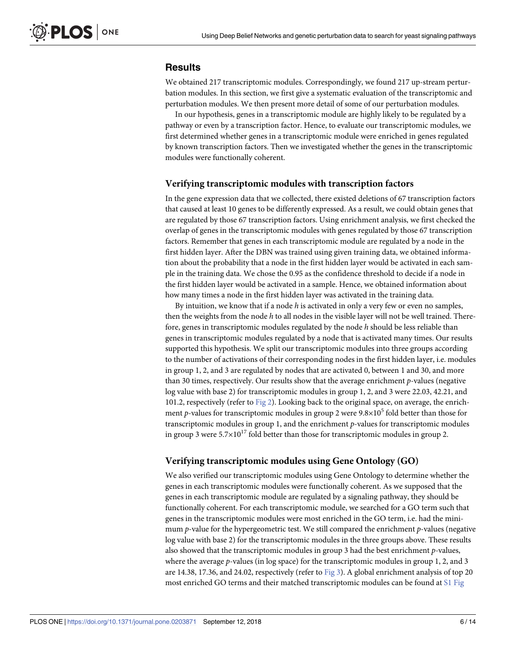#### **Results**

We obtained 217 transcriptomic modules. Correspondingly, we found 217 up-stream perturbation modules. In this section, we first give a systematic evaluation of the transcriptomic and perturbation modules. We then present more detail of some of our perturbation modules.

In our hypothesis, genes in a transcriptomic module are highly likely to be regulated by a pathway or even by a transcription factor. Hence, to evaluate our transcriptomic modules, we first determined whether genes in a transcriptomic module were enriched in genes regulated by known transcription factors. Then we investigated whether the genes in the transcriptomic modules were functionally coherent.

#### **Verifying transcriptomic modules with transcription factors**

In the gene expression data that we collected, there existed deletions of 67 transcription factors that caused at least 10 genes to be differently expressed. As a result, we could obtain genes that are regulated by those 67 transcription factors. Using enrichment analysis, we first checked the overlap of genes in the transcriptomic modules with genes regulated by those 67 transcription factors. Remember that genes in each transcriptomic module are regulated by a node in the first hidden layer. After the DBN was trained using given training data, we obtained information about the probability that a node in the first hidden layer would be activated in each sample in the training data. We chose the 0.95 as the confidence threshold to decide if a node in the first hidden layer would be activated in a sample. Hence, we obtained information about how many times a node in the first hidden layer was activated in the training data.

By intuition, we know that if a node *h* is activated in only a very few or even no samples, then the weights from the node *h* to all nodes in the visible layer will not be well trained. Therefore, genes in transcriptomic modules regulated by the node *h* should be less reliable than genes in transcriptomic modules regulated by a node that is activated many times. Our results supported this hypothesis. We split our transcriptomic modules into three groups according to the number of activations of their corresponding nodes in the first hidden layer, i.e. modules in group 1, 2, and 3 are regulated by nodes that are activated 0, between 1 and 30, and more than 30 times, respectively. Our results show that the average enrichment *p*-values (negative log value with base 2) for transcriptomic modules in group 1, 2, and 3 were 22.03, 42.21, and 101.2, respectively (refer to Fig 2). Looking back to the original space, on average, the enrichment *p*-values for transcriptomic modules in group 2 were 9.8×10<sup>5</sup> fold better than those for transcriptomic modules in group 1, and the enrichment *p*-values for transcriptomic modules in group 3 were  $5.7 \times 10^{17}$  fold better than those for transcriptomic modules in group 2.

#### **Verifying transcriptomic modules using Gene Ontology (GO)**

We also verified our transcriptomic modules using Gene Ontology to determine whether the genes in each transcriptomic modules were functionally coherent. As we supposed that the genes in each transcriptomic module are regulated by a signaling pathway, they should be functionally coherent. For each transcriptomic module, we searched for a GO term such that genes in the transcriptomic modules were most enriched in the GO term, i.e. had the minimum *p*-value for the hypergeometric test. We still compared the enrichment *p*-values (negative log value with base 2) for the transcriptomic modules in the three groups above. These results also showed that the transcriptomic modules in group 3 had the best enrichment *p*-values, where the average *p*-values (in log space) for the transcriptomic modules in group 1, 2, and 3 are 14.38, 17.36, and 24.02, respectively (refer to Fig 3). A global enrichment analysis of top 20 most enriched GO terms and their matched transcriptomic modules can be found at S1 Fig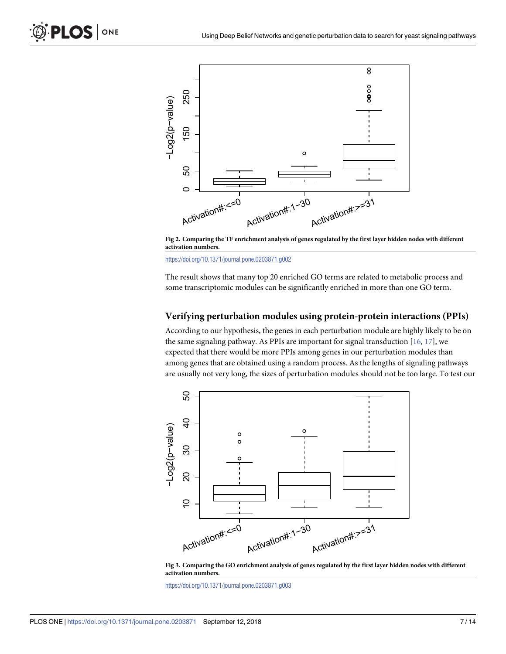

Fig 2. Comparing the TF enrichment analysis of genes regulated by the first layer hidden nodes with different **activation numbers.**

The result shows that many top 20 enriched GO terms are related to metabolic process and some transcriptomic modules can be significantly enriched in more than one GO term.

#### **Verifying perturbation modules using protein-protein interactions (PPIs)**

According to our hypothesis, the genes in each perturbation module are highly likely to be on the same signaling pathway. As PPIs are important for signal transduction  $[16, 17]$ , we expected that there would be more PPIs among genes in our perturbation modules than among genes that are obtained using a random process. As the lengths of signaling pathways are usually not very long, the sizes of perturbation modules should not be too large. To test our



Fig 3. Comparing the GO enrichment analysis of genes regulated by the first layer hidden nodes with different **activation numbers.**

https://doi.org/10.1371/journal.pone.0203871.g003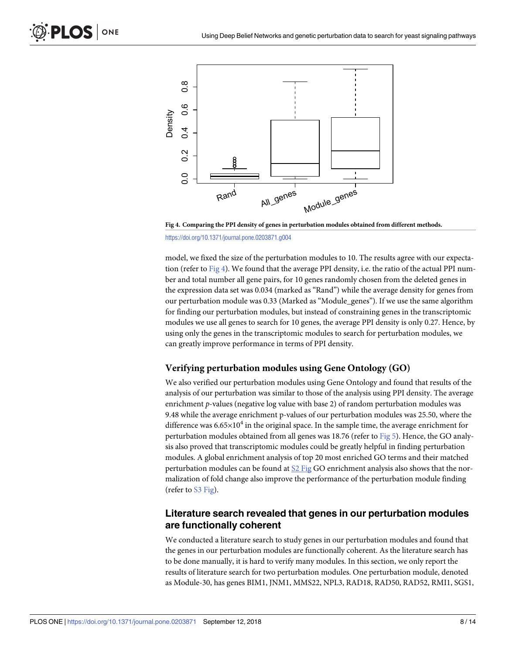

**Fig 4. Comparing the PPI density of genes in perturbation modules obtained from different methods.**

model, we fixed the size of the perturbation modules to 10. The results agree with our expectation (refer to Fig 4). We found that the average PPI density, i.e. the ratio of the actual PPI number and total number all gene pairs, for 10 genes randomly chosen from the deleted genes in the expression data set was 0.034 (marked as "Rand") while the average density for genes from our perturbation module was 0.33 (Marked as "Module\_genes"). If we use the same algorithm for finding our perturbation modules, but instead of constraining genes in the transcriptomic modules we use all genes to search for 10 genes, the average PPI density is only 0.27. Hence, by using only the genes in the transcriptomic modules to search for perturbation modules, we can greatly improve performance in terms of PPI density.

#### **Verifying perturbation modules using Gene Ontology (GO)**

We also verified our perturbation modules using Gene Ontology and found that results of the analysis of our perturbation was similar to those of the analysis using PPI density. The average enrichment *p*-values (negative log value with base 2) of random perturbation modules was 9.48 while the average enrichment p-values of our perturbation modules was 25.50, where the difference was  $6.65 \times 10^4$  in the original space. In the sample time, the average enrichment for perturbation modules obtained from all genes was 18.76 (refer to Fig 5). Hence, the GO analysis also proved that transcriptomic modules could be greatly helpful in finding perturbation modules. A global enrichment analysis of top 20 most enriched GO terms and their matched perturbation modules can be found at  $S2$  Fig GO enrichment analysis also shows that the normalization of fold change also improve the performance of the perturbation module finding (refer to S3 Fig).

#### **Literature search revealed that genes in our perturbation modules are functionally coherent**

We conducted a literature search to study genes in our perturbation modules and found that the genes in our perturbation modules are functionally coherent. As the literature search has to be done manually, it is hard to verify many modules. In this section, we only report the results of literature search for two perturbation modules. One perturbation module, denoted as Module-30, has genes BIM1, JNM1, MMS22, NPL3, RAD18, RAD50, RAD52, RMI1, SGS1,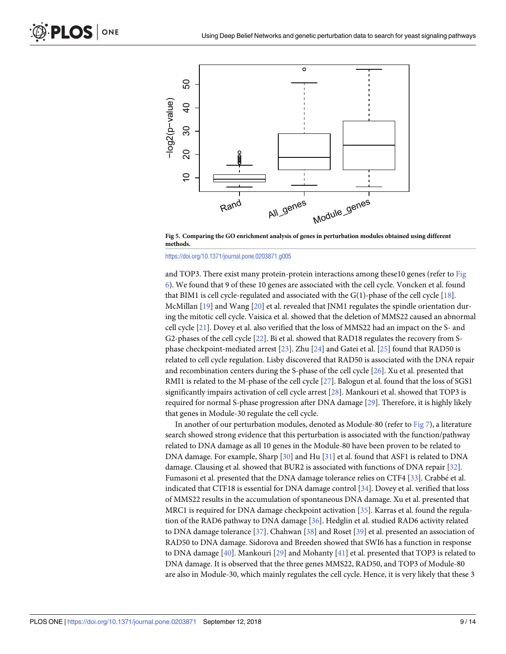

**Fig 5. Comparing the GO enrichment analysis of genes in perturbation modules obtained using different methods.**

and TOP3. There exist many protein-protein interactions among these10 genes (refer to Fig 6). We found that 9 of these 10 genes are associated with the cell cycle. Voncken et al. found that BIM1 is cell cycle-regulated and associated with the  $G(1)$ -phase of the cell cycle [18]. McMillan [19] and Wang [20] et al. revealed that JNM1 regulates the spindle orientation during the mitotic cell cycle. Vaisica et al. showed that the deletion of MMS22 caused an abnormal cell cycle [21]. Dovey et al. also verified that the loss of MMS22 had an impact on the S- and G2-phases of the cell cycle [22]. Bi et al. showed that RAD18 regulates the recovery from Sphase checkpoint-mediated arrest [23]. Zhu [24] and Gatei et al. [25] found that RAD50 is related to cell cycle regulation. Lisby discovered that RAD50 is associated with the DNA repair and recombination centers during the S-phase of the cell cycle [26]. Xu et al. presented that RMI1 is related to the M-phase of the cell cycle [27]. Balogun et al. found that the loss of SGS1 significantly impairs activation of cell cycle arrest [28]. Mankouri et al. showed that TOP3 is required for normal S-phase progression after DNA damage [29]. Therefore, it is highly likely that genes in Module-30 regulate the cell cycle.

In another of our perturbation modules, denoted as Module-80 (refer to Fig 7), a literature search showed strong evidence that this perturbation is associated with the function/pathway related to DNA damage as all 10 genes in the Module-80 have been proven to be related to DNA damage. For example, Sharp [30] and Hu [31] et al. found that ASF1 is related to DNA damage. Clausing et al. showed that BUR2 is associated with functions of DNA repair [32]. Fumasoni et al. presented that the DNA damage tolerance relies on CTF4 [33]. Crabbé et al. indicated that CTF18 is essential for DNA damage control [34]. Dovey et al. verified that loss of MMS22 results in the accumulation of spontaneous DNA damage. Xu et al. presented that MRC1 is required for DNA damage checkpoint activation [35]. Karras et al. found the regulation of the RAD6 pathway to DNA damage [36]. Hedglin et al. studied RAD6 activity related to DNA damage tolerance [37]. Chahwan [38] and Roset [39] et al. presented an association of RAD50 to DNA damage. Sidorova and Breeden showed that SWI6 has a function in response to DNA damage [40]. Mankouri [29] and Mohanty [41] et al. presented that TOP3 is related to DNA damage. It is observed that the three genes MMS22, RAD50, and TOP3 of Module-80 are also in Module-30, which mainly regulates the cell cycle. Hence, it is very likely that these 3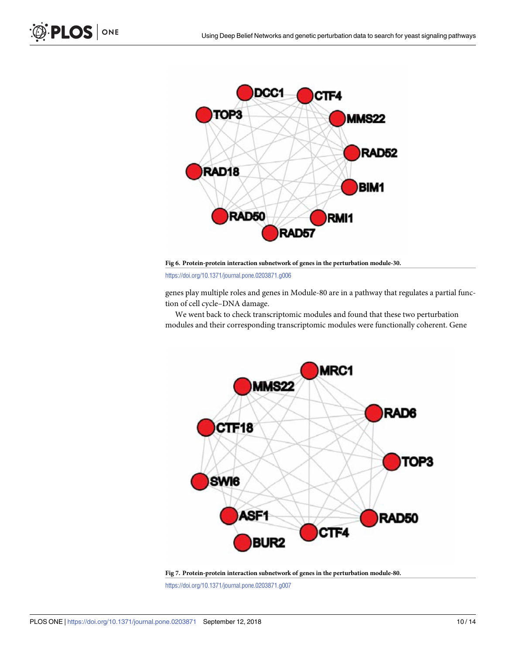

**Fig 6. Protein-protein interaction subnetwork of genes in the perturbation module-30.**

genes play multiple roles and genes in Module-80 are in a pathway that regulates a partial function of cell cycle–DNA damage.

We went back to check transcriptomic modules and found that these two perturbation modules and their corresponding transcriptomic modules were functionally coherent. Gene





https://doi.org/10.1371/journal.pone.0203871.g007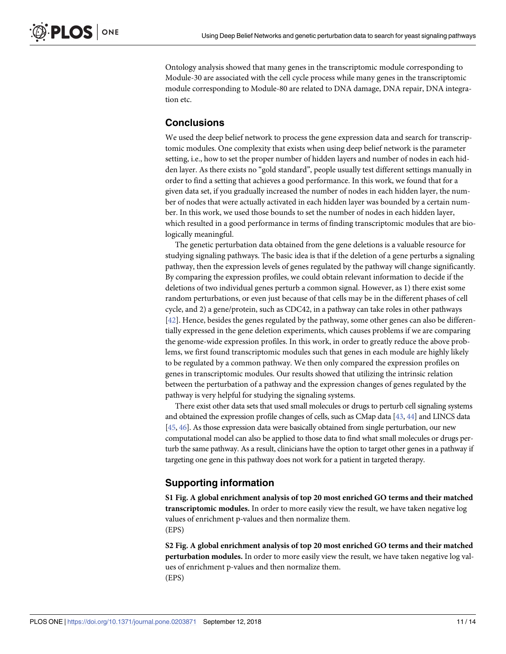Ontology analysis showed that many genes in the transcriptomic module corresponding to Module-30 are associated with the cell cycle process while many genes in the transcriptomic module corresponding to Module-80 are related to DNA damage, DNA repair, DNA integration etc.

#### **Conclusions**

We used the deep belief network to process the gene expression data and search for transcriptomic modules. One complexity that exists when using deep belief network is the parameter setting, i.e., how to set the proper number of hidden layers and number of nodes in each hidden layer. As there exists no "gold standard", people usually test different settings manually in order to find a setting that achieves a good performance. In this work, we found that for a given data set, if you gradually increased the number of nodes in each hidden layer, the number of nodes that were actually activated in each hidden layer was bounded by a certain number. In this work, we used those bounds to set the number of nodes in each hidden layer, which resulted in a good performance in terms of finding transcriptomic modules that are biologically meaningful.

The genetic perturbation data obtained from the gene deletions is a valuable resource for studying signaling pathways. The basic idea is that if the deletion of a gene perturbs a signaling pathway, then the expression levels of genes regulated by the pathway will change significantly. By comparing the expression profiles, we could obtain relevant information to decide if the deletions of two individual genes perturb a common signal. However, as 1) there exist some random perturbations, or even just because of that cells may be in the different phases of cell cycle, and 2) a gene/protein, such as CDC42, in a pathway can take roles in other pathways [42]. Hence, besides the genes regulated by the pathway, some other genes can also be differentially expressed in the gene deletion experiments, which causes problems if we are comparing the genome-wide expression profiles. In this work, in order to greatly reduce the above problems, we first found transcriptomic modules such that genes in each module are highly likely to be regulated by a common pathway. We then only compared the expression profiles on genes in transcriptomic modules. Our results showed that utilizing the intrinsic relation between the perturbation of a pathway and the expression changes of genes regulated by the pathway is very helpful for studying the signaling systems.

There exist other data sets that used small molecules or drugs to perturb cell signaling systems and obtained the expression profile changes of cells, such as CMap data [43, 44] and LINCS data [45, 46]. As those expression data were basically obtained from single perturbation, our new computational model can also be applied to those data to find what small molecules or drugs perturb the same pathway. As a result, clinicians have the option to target other genes in a pathway if targeting one gene in this pathway does not work for a patient in targeted therapy.

#### **Supporting information**

**S1 Fig. A global enrichment analysis of top 20 most enriched GO terms and their matched transcriptomic modules.** In order to more easily view the result, we have taken negative log values of enrichment p-values and then normalize them. (EPS)

**S2 Fig. A global enrichment analysis of top 20 most enriched GO terms and their matched perturbation modules.** In order to more easily view the result, we have taken negative log values of enrichment p-values and then normalize them. (EPS)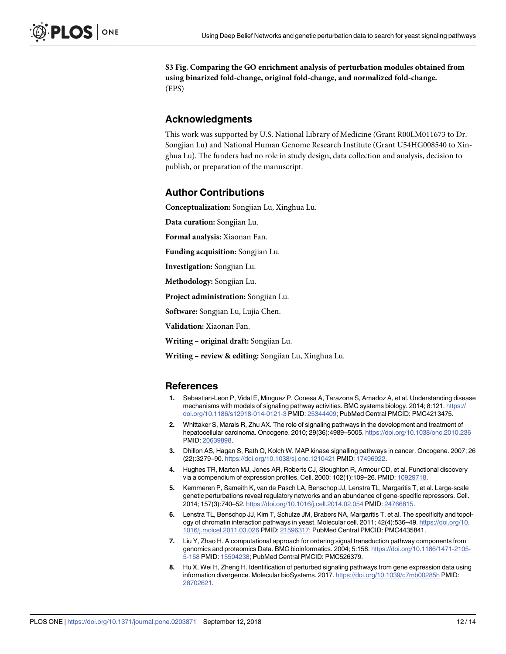**S3 Fig. Comparing the GO enrichment analysis of perturbation modules obtained from using binarized fold-change, original fold-change, and normalized fold-change.** (EPS)

#### **Acknowledgments**

This work was supported by U.S. National Library of Medicine (Grant R00LM011673 to Dr. Songjian Lu) and National Human Genome Research Institute (Grant U54HG008540 to Xinghua Lu). The funders had no role in study design, data collection and analysis, decision to publish, or preparation of the manuscript.

#### **Author Contributions**

**Conceptualization:** Songjian Lu, Xinghua Lu.

**Data curation:** Songjian Lu.

**Formal analysis:** Xiaonan Fan.

**Funding acquisition:** Songjian Lu.

**Investigation:** Songjian Lu.

**Methodology:** Songjian Lu.

**Project administration:** Songjian Lu.

**Software:** Songjian Lu, Lujia Chen.

**Validation:** Xiaonan Fan.

**Writing – original draft:** Songjian Lu.

**Writing – review & editing:** Songjian Lu, Xinghua Lu.

#### **References**

- **1.** Sebastian-Leon P, Vidal E, Minguez P, Conesa A, Tarazona S, Amadoz A, et al. Understanding disease mechanisms with models of signaling pathway activities. BMC systems biology. 2014; 8:121. https:// doi.org/10.1186/s12918-014-0121-3 PMID: 25344409; PubMed Central PMCID: PMC4213475.
- **2.** Whittaker S, Marais R, Zhu AX. The role of signaling pathways in the development and treatment of hepatocellular carcinoma. Oncogene. 2010; 29(36):4989–5005. https://doi.org/10.1038/onc.2010.236 PMID: 20639898.
- **3.** Dhillon AS, Hagan S, Rath O, Kolch W. MAP kinase signalling pathways in cancer. Oncogene. 2007; 26 (22):3279–90. https://doi.org/10.1038/sj.onc.1210421 PMID: 17496922.
- **4.** Hughes TR, Marton MJ, Jones AR, Roberts CJ, Stoughton R, Armour CD, et al. Functional discovery via a compendium of expression profiles. Cell. 2000; 102(1):109–26. PMID: 10929718.
- **5.** Kemmeren P, Sameith K, van de Pasch LA, Benschop JJ, Lenstra TL, Margaritis T, et al. Large-scale genetic perturbations reveal regulatory networks and an abundance of gene-specific repressors. Cell. 2014; 157(3):740–52. https://doi.org/10.1016/j.cell.2014.02.054 PMID: 24766815.
- **6.** Lenstra TL, Benschop JJ, Kim T, Schulze JM, Brabers NA, Margaritis T, et al. The specificity and topology of chromatin interaction pathways in yeast. Molecular cell. 2011; 42(4):536–49. https://doi.org/10. 1016/j.molcel.2011.03.026 PMID: 21596317; PubMed Central PMCID: PMC4435841.
- **7.** Liu Y, Zhao H. A computational approach for ordering signal transduction pathway components from genomics and proteomics Data. BMC bioinformatics. 2004; 5:158. https://doi.org/10.1186/1471-2105- 5-158 PMID: 15504238; PubMed Central PMCID: PMC526379.
- **8.** Hu X, Wei H, Zheng H. Identification of perturbed signaling pathways from gene expression data using information divergence. Molecular bioSystems. 2017. https://doi.org/10.1039/c7mb00285h PMID: 28702621.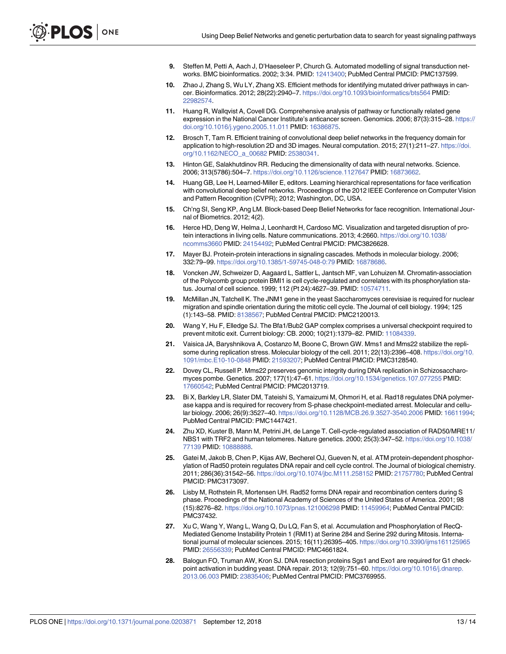- **9.** Steffen M, Petti A, Aach J, D'Haeseleer P, Church G. Automated modelling of signal transduction networks. BMC bioinformatics. 2002; 3:34. PMID: 12413400; PubMed Central PMCID: PMC137599.
- **10.** Zhao J, Zhang S, Wu LY, Zhang XS. Efficient methods for identifying mutated driver pathways in cancer. Bioinformatics. 2012; 28(22):2940–7. https://doi.org/10.1093/bioinformatics/bts564 PMID: 22982574.
- **11.** Huang R, Wallqvist A, Covell DG. Comprehensive analysis of pathway or functionally related gene expression in the National Cancer Institute's anticancer screen. Genomics. 2006; 87(3):315–28. https:// doi.org/10.1016/j.ygeno.2005.11.011 PMID: 16386875.
- **12.** Brosch T, Tam R. Efficient training of convolutional deep belief networks in the frequency domain for application to high-resolution 2D and 3D images. Neural computation. 2015; 27(1):211–27. https://doi. org/10.1162/NECO\_a\_00682 PMID: 25380341.
- **13.** Hinton GE, Salakhutdinov RR. Reducing the dimensionality of data with neural networks. Science. 2006; 313(5786):504–7. https://doi.org/10.1126/science.1127647 PMID: 16873662.
- **14.** Huang GB, Lee H, Learned-Miller E, editors. Learning hierarchical representations for face verification with convolutional deep belief networks. Proceedings of the 2012 IEEE Conference on Computer Vision and Pattern Recognition (CVPR); 2012; Washington, DC, USA.
- **15.** Ch'ng SI, Seng KP, Ang LM. Block-based Deep Belief Networks for face recognition. International Journal of Biometrics. 2012; 4(2).
- **16.** Herce HD, Deng W, Helma J, Leonhardt H, Cardoso MC. Visualization and targeted disruption of protein interactions in living cells. Nature communications. 2013; 4:2660. https://doi.org/10.1038/ ncomms3660 PMID: 24154492; PubMed Central PMCID: PMC3826628.
- **17.** Mayer BJ. Protein-protein interactions in signaling cascades. Methods in molecular biology. 2006; 332:79–99. https://doi.org/10.1385/1-59745-048-0:79 PMID: 16878686.
- **18.** Voncken JW, Schweizer D, Aagaard L, Sattler L, Jantsch MF, van Lohuizen M. Chromatin-association of the Polycomb group protein BMI1 is cell cycle-regulated and correlates with its phosphorylation status. Journal of cell science. 1999; 112 (Pt 24):4627–39. PMID: 10574711.
- **19.** McMillan JN, Tatchell K. The JNM1 gene in the yeast Saccharomyces cerevisiae is required for nuclear migration and spindle orientation during the mitotic cell cycle. The Journal of cell biology. 1994; 125 (1):143–58. PMID: 8138567; PubMed Central PMCID: PMC2120013.
- **20.** Wang Y, Hu F, Elledge SJ. The Bfa1/Bub2 GAP complex comprises a universal checkpoint required to prevent mitotic exit. Current biology: CB. 2000; 10(21):1379–82. PMID: 11084339.
- **21.** Vaisica JA, Baryshnikova A, Costanzo M, Boone C, Brown GW. Mms1 and Mms22 stabilize the replisome during replication stress. Molecular biology of the cell. 2011; 22(13):2396–408. https://doi.org/10. 1091/mbc.E10-10-0848 PMID: 21593207; PubMed Central PMCID: PMC3128540.
- **22.** Dovey CL, Russell P. Mms22 preserves genomic integrity during DNA replication in Schizosaccharomyces pombe. Genetics. 2007; 177(1):47–61. https://doi.org/10.1534/genetics.107.077255 PMID: 17660542; PubMed Central PMCID: PMC2013719.
- **23.** Bi X, Barkley LR, Slater DM, Tateishi S, Yamaizumi M, Ohmori H, et al. Rad18 regulates DNA polymerase kappa and is required for recovery from S-phase checkpoint-mediated arrest. Molecular and cellular biology. 2006; 26(9):3527–40. https://doi.org/10.1128/MCB.26.9.3527-3540.2006 PMID: 16611994; PubMed Central PMCID: PMC1447421.
- **24.** Zhu XD, Kuster B, Mann M, Petrini JH, de Lange T. Cell-cycle-regulated association of RAD50/MRE11/ NBS1 with TRF2 and human telomeres. Nature genetics. 2000; 25(3):347–52. https://doi.org/10.1038/ 77139 PMID: 10888888.
- **25.** Gatei M, Jakob B, Chen P, Kijas AW, Becherel OJ, Gueven N, et al. ATM protein-dependent phosphorylation of Rad50 protein regulates DNA repair and cell cycle control. The Journal of biological chemistry. 2011; 286(36):31542–56. https://doi.org/10.1074/jbc.M111.258152 PMID: 21757780; PubMed Central PMCID: PMC3173097.
- **26.** Lisby M, Rothstein R, Mortensen UH. Rad52 forms DNA repair and recombination centers during S phase. Proceedings of the National Academy of Sciences of the United States of America. 2001; 98 (15):8276–82. https://doi.org/10.1073/pnas.121006298 PMID: 11459964; PubMed Central PMCID: PMC37432.
- **27.** Xu C, Wang Y, Wang L, Wang Q, Du LQ, Fan S, et al. Accumulation and Phosphorylation of RecQ-Mediated Genome Instability Protein 1 (RMI1) at Serine 284 and Serine 292 during Mitosis. International journal of molecular sciences. 2015; 16(11):26395–405. https://doi.org/10.3390/ijms161125965 PMID: 26556339; PubMed Central PMCID: PMC4661824.
- **28.** Balogun FO, Truman AW, Kron SJ. DNA resection proteins Sgs1 and Exo1 are required for G1 checkpoint activation in budding yeast. DNA repair. 2013; 12(9):751–60. https://doi.org/10.1016/j.dnarep. 2013.06.003 PMID: 23835406; PubMed Central PMCID: PMC3769955.